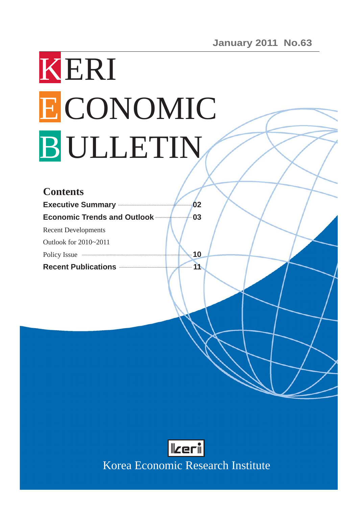# KERI ECONOMIC B ULLETIN

| <b>Contents</b>                             |    |
|---------------------------------------------|----|
| <b>Executive Summary Executive Summary</b>  | 02 |
| <b>Economic Trends and Outlook </b>         | 03 |
| <b>Recent Developments</b>                  |    |
| Outlook for 2010~2011                       |    |
| Policy Issue <b>Example 20</b> Policy Issue | 10 |
| Recent Publications <b>Exercise Section</b> | 11 |



Korea Economic Research Institute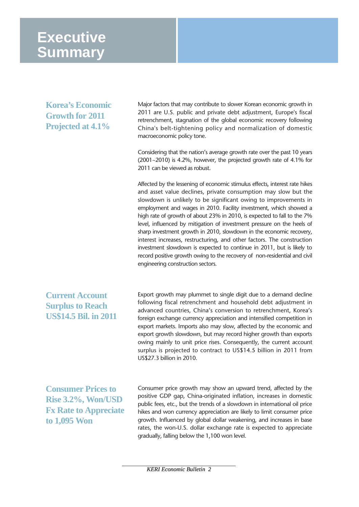# **Executive Summary**

**Korea's Economic Growth for 2011 Projected at 4.1%** 

Major factors that may contribute to slower Korean economic growth in 2011 are U.S. public and private debt adjustment, Europe's fiscal retrenchment, stagnation of the global economic recovery following China's belt-tightening policy and normalization of domestic macroeconomic policy tone.

Considering that the nation's average growth rate over the past 10 years (2001~2010) is 4.2%, however, the projected growth rate of 4.1% for 2011 can be viewed as robust.

Affected by the lessening of economic stimulus effects, interest rate hikes and asset value declines, private consumption may slow but the slowdown is unlikely to be significant owing to improvements in employment and wages in 2010. Facility investment, which showed a high rate of growth of about 23% in 2010, is expected to fall to the 7% level, influenced by mitigation of investment pressure on the heels of sharp investment growth in 2010, slowdown in the economic recovery, interest increases, restructuring, and other factors. The construction investment slowdown is expected to continue in 2011, but is likely to record positive growth owing to the recovery of non-residential and civil engineering construction sectors.

## **Current Account Surplus to Reach US\$14.5 Bil. in 2011**

Export growth may plummet to single digit due to a demand decline following fiscal retrenchment and household debt adjustment in advanced countries, China's conversion to retrenchment, Korea's foreign exchange currency appreciation and intensified competition in export markets. Imports also may slow, affected by the economic and export growth slowdown, but may record higher growth than exports owing mainly to unit price rises. Consequently, the current account surplus is projected to contract to US\$14.5 billion in 2011 from US\$27.3 billion in 2010.

**Consumer Prices to Rise 3.2%, Won/USD Fx Rate to Appreciate to 1,095 Won**

Consumer price growth may show an upward trend, affected by the positive GDP gap, China-originated inflation, increases in domestic public fees, etc., but the trends of a slowdown in international oil price hikes and won currency appreciation are likely to limit consumer price growth. Influenced by global dollar weakening, and increases in base rates, the won-U.S. dollar exchange rate is expected to appreciate gradually, falling below the 1,100 won level.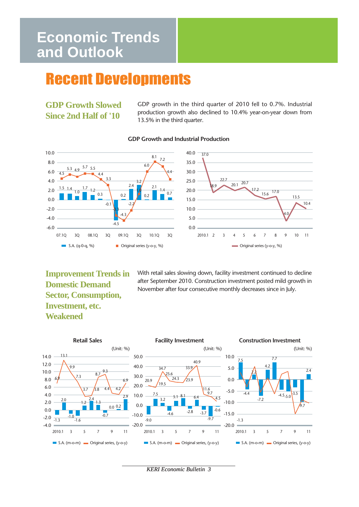# **Economic Trends and Outlook**

# Recent Developments

**GDP Growth Slowed Since 2nd Half of '10**

GDP growth in the third quarter of 2010 fell to 0.7%. Industrial production growth also declined to 10.4% year-on-year down from 13.5% in the third quarter.



#### **GDP Growth and Industrial Production**

**Improvement Trends in Domestic Demand Sector, Consumption, Investment, etc. Weakened** 

With retail sales slowing down, facility investment continued to decline after September 2010. Construction investment posted mild growth in November after four consecutive monthly decreases since in July.



*KERI Economic Bulletin 3*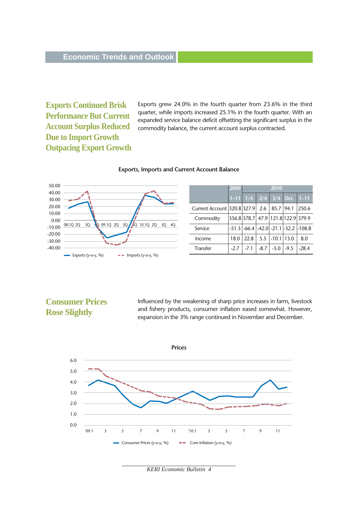**Exports Continued Brisk Performance But Current Account Surplus Reduced Due to Import Growth Outpacing Export Growth**  Exports grew 24.0% in the fourth quarter from 23.6% in the third quarter, while imports increased 25.1% in the fourth quarter. With an expanded service balance deficit offsetting the significant surplus in the commodity balance, the current account surplus contracted.



#### **Exports, Imports and Current Account Balance**

|                             | 2009   | 2010                               |        |           |        |                                                  |
|-----------------------------|--------|------------------------------------|--------|-----------|--------|--------------------------------------------------|
|                             |        | $1-11$ 1/4 2/4 3/4 Oct.            |        |           |        | $1 - 11$                                         |
| Current Account 320.8 327.9 |        |                                    | 2.6    | 85.7 94.1 |        | 250.6                                            |
| Commodity                   |        | 356.8 378.7 47.9 121.8 122.9 379.9 |        |           |        |                                                  |
| Service                     |        |                                    |        |           |        | $-51.3$ $-66.4$ $-42.0$ $-21.1$ $-32.2$ $-108.8$ |
| Income                      | 18.0   | 22.8                               | 5.5    | $-10.1$   | 13.0   | 8.0                                              |
| Transfer                    | $-2.7$ | $-7.1$                             | $-8.7$ | $-5.0$    | $-9.5$ | $-28.4$                                          |

## **Consumer Prices Rose Slightly**

Influenced by the weakening of sharp price increases in farm, livestock and fishery products, consumer inflation eased somewhat. However, expansion in the 3% range continued in November and December.



*KERI Economic Bulletin 4*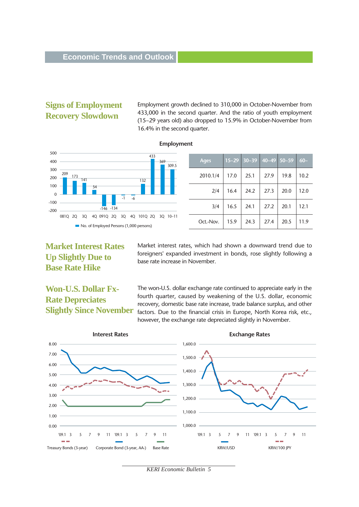## **Signs of Employment Recovery Slowdown**

Employment growth declined to 310,000 in October-November from 433,000 in the second quarter. And the ratio of youth employment (15~29 years old) also dropped to 15.9% in October-November from 16.4% in the second quarter.

#### **Employment**



| <b>Ages</b> | $15 - 29$ | $30 - 39$ | $\parallel$ 40~49 50~59 |      | $60-$ |
|-------------|-----------|-----------|-------------------------|------|-------|
| 2010.1/4    | 17.0      | 25.1      | 27.9                    | 19.8 | 10.2  |
| 2/4         | 16.4      | 24.2      | 27.3                    | 20.0 | 12.0  |
| 3/4         | 16.5      | 24.1      | 27.2                    | 20.1 | 12.1  |
| Oct.-Nov.   | 15.9      | 24.3      | 27.4                    | 20.5 | 11.9  |

## **Market Interest Rates Up Slightly Due to Base Rate Hike**

Market interest rates, which had shown a downward trend due to foreigners' expanded investment in bonds, rose slightly following a base rate increase in November.

# **Won-U.S. Dollar Fx-Rate Depreciates Slightly Since November**

The won-U.S. dollar exchange rate continued to appreciate early in the fourth quarter, caused by weakening of the U.S. dollar, economic recovery, domestic base rate increase, trade balance surplus, and other factors. Due to the financial crisis in Europe, North Korea risk, etc., however, the exchange rate depreciated slightly in November.



*KERI Economic Bulletin 5*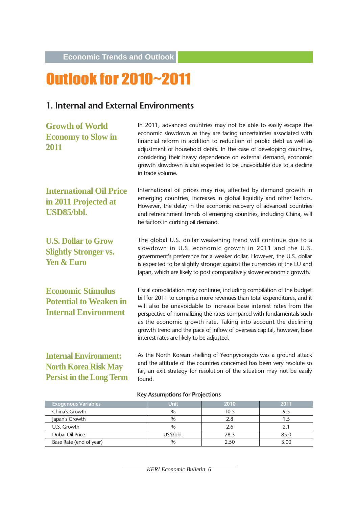**Economic Trends and Outlook**

# Outlook for 2010~2011

# **1. Internal and External Environments**

| <b>Growth of World</b><br><b>Economy to Slow in</b><br>2011                                    | In 2011, advanced countries may not be able to easily escape the<br>economic slowdown as they are facing uncertainties associated with<br>financial reform in addition to reduction of public debt as well as<br>adjustment of household debts. In the case of developing countries,<br>considering their heavy dependence on external demand, economic<br>growth slowdown is also expected to be unavoidable due to a decline<br>in trade volume.                                      |
|------------------------------------------------------------------------------------------------|-----------------------------------------------------------------------------------------------------------------------------------------------------------------------------------------------------------------------------------------------------------------------------------------------------------------------------------------------------------------------------------------------------------------------------------------------------------------------------------------|
| <b>International Oil Price</b><br>in 2011 Projected at<br>USD85/bbl.                           | International oil prices may rise, affected by demand growth in<br>emerging countries, increases in global liquidity and other factors.<br>However, the delay in the economic recovery of advanced countries<br>and retrenchment trends of emerging countries, including China, will<br>be factors in curbing oil demand.                                                                                                                                                               |
| <b>U.S. Dollar to Grow</b><br><b>Slightly Stronger vs.</b><br><b>Yen &amp; Euro</b>            | The global U.S. dollar weakening trend will continue due to a<br>slowdown in U.S. economic growth in 2011 and the U.S.<br>government's preference for a weaker dollar. However, the U.S. dollar<br>is expected to be slightly stronger against the currencies of the EU and<br>Japan, which are likely to post comparatively slower economic growth.                                                                                                                                    |
| <b>Economic Stimulus</b><br><b>Potential to Weaken in</b><br><b>Internal Environment</b>       | Fiscal consolidation may continue, including compilation of the budget<br>bill for 2011 to comprise more revenues than total expenditures, and it<br>will also be unavoidable to increase base interest rates from the<br>perspective of normalizing the rates compared with fundamentals such<br>as the economic growth rate. Taking into account the declining<br>growth trend and the pace of inflow of overseas capital, however, base<br>interest rates are likely to be adjusted. |
| <b>Internal Environment:</b><br><b>North Korea Risk May</b><br><b>Persist in the Long Term</b> | As the North Korean shelling of Yeonpyeongdo was a ground attack<br>and the attitude of the countries concerned has been very resolute so<br>far, an exit strategy for resolution of the situation may not be easily<br>found.                                                                                                                                                                                                                                                          |

| <b>Exogenous Variables</b> | Unit          | 2010 | 2011 |
|----------------------------|---------------|------|------|
| China's Growth             | $\frac{0}{0}$ | 10.5 | 9.5  |
| Japan's Growth             | $\%$          | 2.8  |      |
| U.S. Growth                | $\%$          | 2.6  |      |
| Dubai Oil Price            | US\$/bbl.     | 78.3 | 85.0 |
| Base Rate (end of year)    | $\%$          | 2.50 | 3.00 |

#### **Key Assumptions for Projections**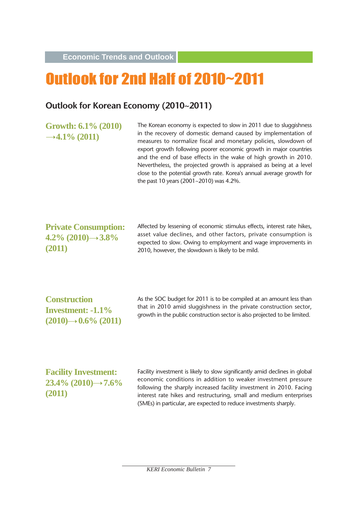**Economic Trends and Outlook**

# Outlook for 2nd Half of 2010~2011

## **Outlook for Korean Economy (2010~2011)**

**Growth: 6.1% (2010)**  $\rightarrow$  4.1% (2011)

The Korean economy is expected to slow in 2011 due to sluggishness in the recovery of domestic demand caused by implementation of measures to normalize fiscal and monetary policies, slowdown of export growth following poorer economic growth in major countries and the end of base effects in the wake of high growth in 2010. Nevertheless, the projected growth is appraised as being at a level close to the potential growth rate. Korea's annual average growth for the past 10 years (2001~2010) was 4.2%.

**Private Consumption: 4.2**% (2010)→3.8<sup>%</sup> **(2011)** 

Affected by lessening of economic stimulus effects, interest rate hikes, asset value declines, and other factors, private consumption is expected to slow. Owing to employment and wage improvements in 2010, however, the slowdown is likely to be mild.

**Construction Investment: -1.1%**  $(2010) \rightarrow 0.6\%$  (2011) As the SOC budget for 2011 is to be compiled at an amount less than that in 2010 amid sluggishness in the private construction sector, growth in the public construction sector is also projected to be limited.

**Facility Investment: 23.4% (2010)→7.6% (2011)** 

Facility investment is likely to slow significantly amid declines in global economic conditions in addition to weaker investment pressure following the sharply increased facility investment in 2010. Facing interest rate hikes and restructuring, small and medium enterprises (SMEs) in particular, are expected to reduce investments sharply.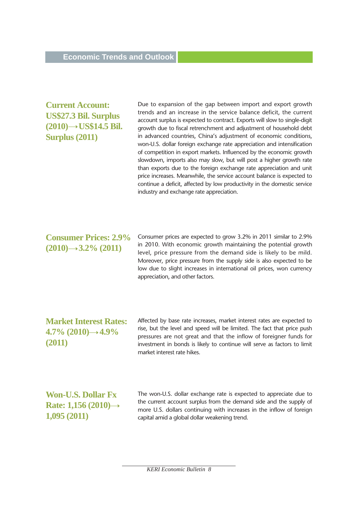## **Current Account: US\$27.3 Bil. Surplus**  $(2010) \rightarrow US$14.5$  Bil. **Surplus (2011)**

Due to expansion of the gap between import and export growth trends and an increase in the service balance deficit, the current account surplus is expected to contract. Exports will slow to single-digit growth due to fiscal retrenchment and adjustment of household debt in advanced countries, China's adjustment of economic conditions, won-U.S. dollar foreign exchange rate appreciation and intensification of competition in export markets. Influenced by the economic growth slowdown, imports also may slow, but will post a higher growth rate than exports due to the foreign exchange rate appreciation and unit price increases. Meanwhile, the service account balance is expected to continue a deficit, affected by low productivity in the domestic service industry and exchange rate appreciation.

**Consumer Prices: 2.9%**  $(2010) \rightarrow 3.2\%$  (2011)

Consumer prices are expected to grow 3.2% in 2011 similar to 2.9% in 2010. With economic growth maintaining the potential growth level, price pressure from the demand side is likely to be mild. Moreover, price pressure from the supply side is also expected to be low due to slight increases in international oil prices, won currency appreciation, and other factors.

**Market Interest Rates:**  $4.7\%$  (2010) $\rightarrow$  4.9% **(2011)** 

Affected by base rate increases, market interest rates are expected to rise, but the level and speed will be limited. The fact that price push pressures are not great and that the inflow of foreigner funds for investment in bonds is likely to continue will serve as factors to limit market interest rate hikes.

**Won-U.S. Dollar Fx Rate: 1,156 (2010) 1,095 (2011)**

The won-U.S. dollar exchange rate is expected to appreciate due to the current account surplus from the demand side and the supply of more U.S. dollars continuing with increases in the inflow of foreign capital amid a global dollar weakening trend.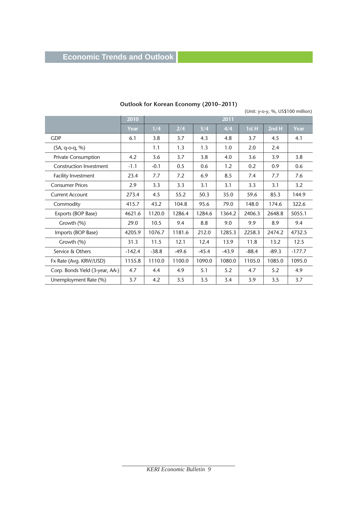# **Economic Trends and Outlook**

|                                 |          |         |         |         |         |                                    |         | (Unit: y-o-y, %, US\$100 million) |
|---------------------------------|----------|---------|---------|---------|---------|------------------------------------|---------|-----------------------------------|
|                                 | 2010     |         | 2011    |         |         |                                    |         |                                   |
|                                 | Year     | 1/4     | 2/4     | 3/4     | 4/4     | $\overline{1}$ st H $\overline{1}$ | 2nd H   | Year                              |
| <b>GDP</b>                      | 6.1      | 3.8     | 3.7     | 4.3     | 4.8     | 3.7                                | 4.5     | 4.1                               |
| $(SA, q-o-q, %)$                |          | 1.1     | 1.3     | 1.3     | 1.0     | 2.0                                | 2.4     |                                   |
| <b>Private Consumption</b>      | 4.2      | 3.6     | 3.7     | 3.8     | 4.0     | 3.6                                | 3.9     | 3.8                               |
| <b>Construction Investment</b>  | $-1.1$   | $-0.1$  | 0.5     | 0.6     | 1.2     | 0.2                                | 0.9     | 0.6                               |
| <b>Facility Investment</b>      | 23.4     | 7.7     | 7.2     | 6.9     | 8.5     | 7.4                                | 7.7     | 7.6                               |
| <b>Consumer Prices</b>          | 2.9      | 3.3     | 3.3     | 3.1     | 3.1     | 3.3                                | 3.1     | 3.2                               |
| <b>Current Account</b>          | 273.4    | 4.5     | 55.2    | 50.3    | 35.0    | 59.6                               | 85.3    | 144.9                             |
| Commodity                       | 415.7    | 43.2    | 104.8   | 95.6    | 79.0    | 148.0                              | 174.6   | 322.6                             |
| Exports (BOP Base)              | 4621.6   | 1120.0  | 1286.4  | 1284.6  | 1364.2  | 2406.3                             | 2648.8  | 5055.1                            |
| Growth (%)                      | 29.0     | 10.5    | 9.4     | 8.8     | 9.0     | 9.9                                | 8.9     | 9.4                               |
| Imports (BOP Base)              | 4205.9   | 1076.7  | 1181.6  | 212.0   | 1285.3  | 2258.3                             | 2474.2  | 4732.5                            |
| Growth (%)                      | 31.3     | 11.5    | 12.1    | 12.4    | 13.9    | 11.8                               | 13.2    | 12.5                              |
| Service & Others                | $-142.4$ | $-38.8$ | $-49.6$ | $-45.4$ | $-43.9$ | $-88.4$                            | $-89.3$ | $-177.7$                          |
| Fx Rate (Avg. KRW/USD)          | 1155.8   | 1110.0  | 1100.0  | 1090.0  | 1080.0  | 1105.0                             | 1085.0  | 1095.0                            |
| Corp. Bonds Yield (3-year, AA-) | 4.7      | 4.4     | 4.9     | 5.1     | 5.2     | 4.7                                | 5.2     | 4.9                               |
| Unemployment Rate (%)           | 3.7      | 4.2     | 3.5     | 3.5     | 3.4     | 3.9                                | 3.5     | 3.7                               |

#### **Outlook for Korean Economy (2010~2011)**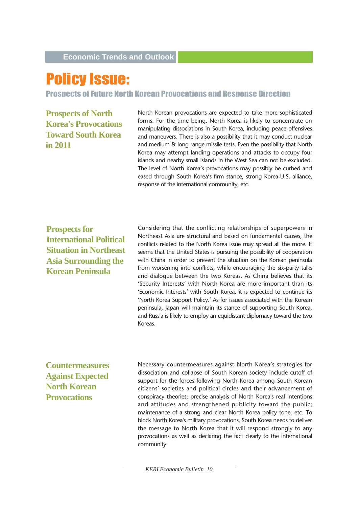# Policy Issue:

Prospects of Future North Korean Provocations and Response Direction

**Prospects of North Korea's Provocations Toward South Korea in 2011**

North Korean provocations are expected to take more sophisticated forms. For the time being, North Korea is likely to concentrate on manipulating dissociations in South Korea, including peace offensives and maneuvers. There is also a possibility that it may conduct nuclear and medium & long-range missile tests. Even the possibility that North Korea may attempt landing operations and attacks to occupy four islands and nearby small islands in the West Sea can not be excluded. The level of North Korea's provocations may possibly be curbed and eased through South Korea's firm stance, strong Korea-U.S. alliance, response of the international community, etc.

**Prospects for International Political Situation in Northeast Asia Surrounding the Korean Peninsula** 

Considering that the conflicting relationships of superpowers in Northeast Asia are structural and based on fundamental causes, the conflicts related to the North Korea issue may spread all the more. It seems that the United States is pursuing the possibility of cooperation with China in order to prevent the situation on the Korean peninsula from worsening into conflicts, while encouraging the six-party talks and dialogue between the two Koreas. As China believes that its 'Security Interests' with North Korea are more important than its 'Economic Interests' with South Korea, it is expected to continue its 'North Korea Support Policy.' As for issues associated with the Korean peninsula, Japan will maintain its stance of supporting South Korea, and Russia is likely to employ an equidistant diplomacy toward the two Koreas.

**Countermeasures Against Expected North Korean Provocations**

Necessary countermeasures against North Korea's strategies for dissociation and collapse of South Korean society include cutoff of support for the forces following North Korea among South Korean citizens' societies and political circles and their advancement of conspiracy theories; precise analysis of North Korea's real intentions and attitudes and strengthened publicity toward the public; maintenance of a strong and clear North Korea policy tone; etc. To block North Korea's military provocations, South Korea needs to deliver the message to North Korea that it will respond strongly to any provocations as well as declaring the fact clearly to the international community.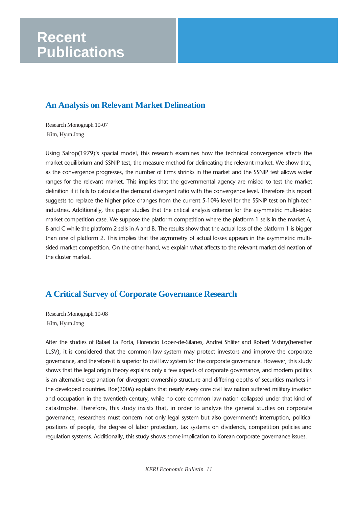# **Recent Publications**

# **An Analysis on Relevant Market Delineation**

Research Monograph 10-07 Kim, Hyun Jong

Using Salrop(1979)'s spacial model, this research examines how the technical convergence affects the market equilibrium and SSNIP test, the measure method for delineating the relevant market. We show that, as the convergence progresses, the number of firms shrinks in the market and the SSNIP test allows wider ranges for the relevant market. This implies that the governmental agency are misled to test the market definition if it fails to calculate the demand divergent ratio with the convergence level. Therefore this report suggests to replace the higher price changes from the current 5-10% level for the SSNIP test on high-tech industries. Additionally, this paper studies that the critical analysis criterion for the asymmetric multi-sided market competition case. We suppose the platform competition where the platform 1 sells in the market A, B and C while the platform 2 sells in A and B. The results show that the actual loss of the platform 1 is bigger than one of platform 2. This implies that the asymmetry of actual losses appears in the asymmetric multisided market competition. On the other hand, we explain what affects to the relevant market delineation of the cluster market.

# **A Critical Survey of Corporate Governance Research**

Research Monograph 10-08 Kim, Hyun Jong

After the studies of Rafael La Porta, Florencio Lopez-de-Silanes, Andrei Shlifer and Robert Vishny(hereafter LLSV), it is considered that the common law system may protect investors and improve the corporate governance, and therefore it is superior to civil law system for the corporate governance. However, this study shows that the legal origin theory explains only a few aspects of corporate governance, and modern politics is an alternative explanation for divergent ownership structure and differing depths of securities markets in the developed countries. Roe(2006) explains that nearly every core civil law nation suffered military invation and occupation in the twentieth century, while no core common law nation collapsed under that kind of catastrophe. Therefore, this study insists that, in order to analyze the general studies on corporate governance, researchers must concern not only legal system but also government's interruption, political positions of people, the degree of labor protection, tax systems on dividends, competition policies and regulation systems. Additionally, this study shows some implication to Korean corporate governance issues.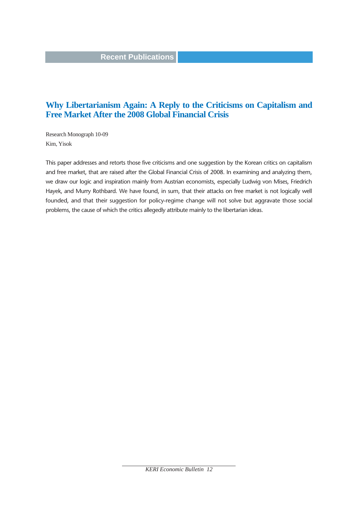### **Recent Publications**

## **Why Libertarianism Again: A Reply to the Criticisms on Capitalism and Free Market After the 2008 Global Financial Crisis**

Research Monograph 10-09 Kim, Yisok

This paper addresses and retorts those five criticisms and one suggestion by the Korean critics on capitalism and free market, that are raised after the Global Financial Crisis of 2008. In examining and analyzing them, we draw our logic and inspiration mainly from Austrian economists, especially Ludwig von Mises, Friedrich Hayek, and Murry Rothbard. We have found, in sum, that their attacks on free market is not logically well founded, and that their suggestion for policy-regime change will not solve but aggravate those social problems, the cause of which the critics allegedly attribute mainly to the libertarian ideas.